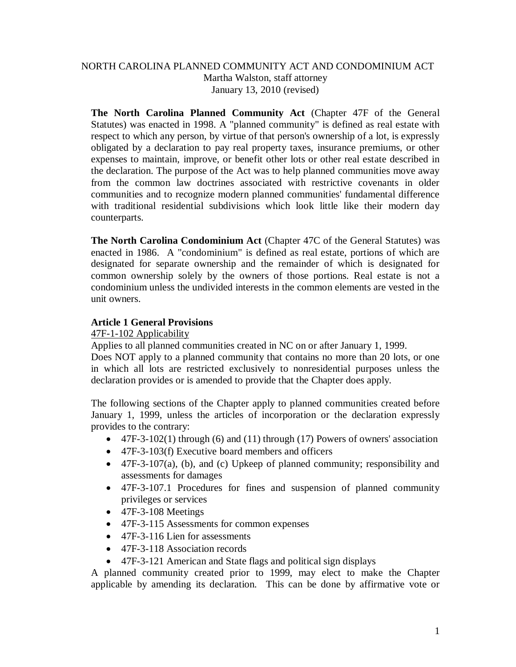## NORTH CAROLINA PLANNED COMMUNITY ACT AND CONDOMINIUM ACT Martha Walston, staff attorney January 13, 2010 (revised)

**The North Carolina Planned Community Act** (Chapter 47F of the General Statutes) was enacted in 1998. A "planned community" is defined as real estate with respect to which any person, by virtue of that person's ownership of a lot, is expressly obligated by a declaration to pay real property taxes, insurance premiums, or other expenses to maintain, improve, or benefit other lots or other real estate described in the declaration. The purpose of the Act was to help planned communities move away from the common law doctrines associated with restrictive covenants in older communities and to recognize modern planned communities' fundamental difference with traditional residential subdivisions which look little like their modern day counterparts.

**The North Carolina Condominium Act** (Chapter 47C of the General Statutes) was enacted in 1986. A "condominium" is defined as real estate, portions of which are designated for separate ownership and the remainder of which is designated for common ownership solely by the owners of those portions. Real estate is not a condominium unless the undivided interests in the common elements are vested in the unit owners.

# **Article 1 General Provisions**

### 47F-1-102 Applicability

Applies to all planned communities created in NC on or after January 1, 1999. Does NOT apply to a planned community that contains no more than 20 lots, or one in which all lots are restricted exclusively to nonresidential purposes unless the declaration provides or is amended to provide that the Chapter does apply.

The following sections of the Chapter apply to planned communities created before January 1, 1999, unless the articles of incorporation or the declaration expressly provides to the contrary:

- $\bullet$  47F-3-102(1) through (6) and (11) through (17) Powers of owners' association
- 47F-3-103(f) Executive board members and officers
- $\bullet$  47F-3-107(a), (b), and (c) Upkeep of planned community; responsibility and assessments for damages
- 47F-3-107.1 Procedures for fines and suspension of planned community privileges or services
- $\bullet$  47F-3-108 Meetings
- 47F-3-115 Assessments for common expenses
- 47F-3-116 Lien for assessments
- 47F-3-118 Association records
- 47F-3-121 American and State flags and political sign displays

A planned community created prior to 1999, may elect to make the Chapter applicable by amending its declaration. This can be done by affirmative vote or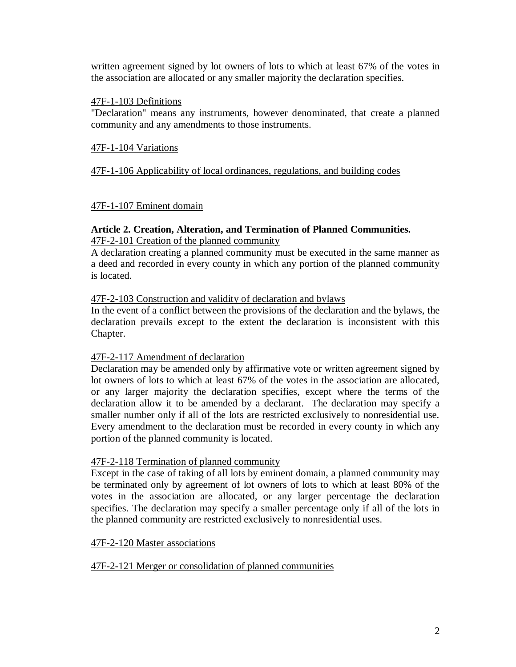written agreement signed by lot owners of lots to which at least 67% of the votes in the association are allocated or any smaller majority the declaration specifies.

#### 47F-1-103 Definitions

"Declaration" means any instruments, however denominated, that create a planned community and any amendments to those instruments.

### 47F-1-104 Variations

### 47F-1-106 Applicability of local ordinances, regulations, and building codes

### 47F-1-107 Eminent domain

## **Article 2. Creation, Alteration, and Termination of Planned Communities.** 47F-2-101 Creation of the planned community

A declaration creating a planned community must be executed in the same manner as a deed and recorded in every county in which any portion of the planned community is located.

### 47F-2-103 Construction and validity of declaration and bylaws

In the event of a conflict between the provisions of the declaration and the bylaws, the declaration prevails except to the extent the declaration is inconsistent with this Chapter.

### 47F-2-117 Amendment of declaration

Declaration may be amended only by affirmative vote or written agreement signed by lot owners of lots to which at least 67% of the votes in the association are allocated, or any larger majority the declaration specifies, except where the terms of the declaration allow it to be amended by a declarant. The declaration may specify a smaller number only if all of the lots are restricted exclusively to nonresidential use. Every amendment to the declaration must be recorded in every county in which any portion of the planned community is located.

### 47F-2-118 Termination of planned community

Except in the case of taking of all lots by eminent domain, a planned community may be terminated only by agreement of lot owners of lots to which at least 80% of the votes in the association are allocated, or any larger percentage the declaration specifies. The declaration may specify a smaller percentage only if all of the lots in the planned community are restricted exclusively to nonresidential uses.

### 47F-2-120 Master associations

### 47F-2-121 Merger or consolidation of planned communities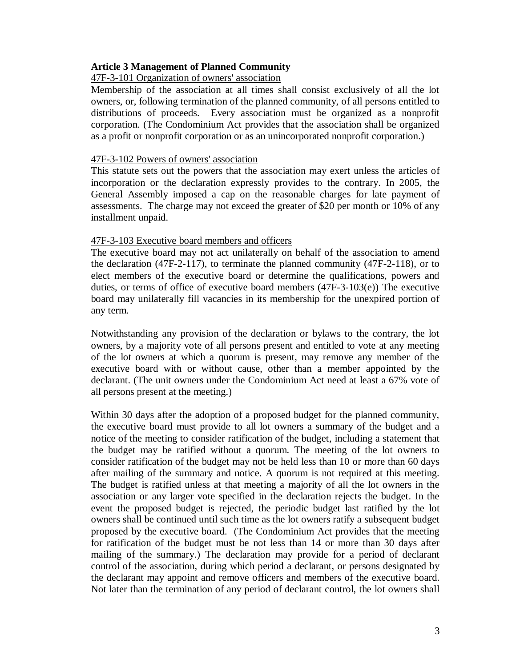#### **Article 3 Management of Planned Community**

#### 47F-3-101 Organization of owners' association

Membership of the association at all times shall consist exclusively of all the lot owners, or, following termination of the planned community, of all persons entitled to distributions of proceeds. Every association must be organized as a nonprofit corporation. (The Condominium Act provides that the association shall be organized as a profit or nonprofit corporation or as an unincorporated nonprofit corporation.)

#### 47F-3-102 Powers of owners' association

This statute sets out the powers that the association may exert unless the articles of incorporation or the declaration expressly provides to the contrary. In 2005, the General Assembly imposed a cap on the reasonable charges for late payment of assessments. The charge may not exceed the greater of \$20 per month or 10% of any installment unpaid.

#### 47F-3-103 Executive board members and officers

The executive board may not act unilaterally on behalf of the association to amend the declaration (47F-2-117), to terminate the planned community (47F-2-118), or to elect members of the executive board or determine the qualifications, powers and duties, or terms of office of executive board members (47F-3-103(e)) The executive board may unilaterally fill vacancies in its membership for the unexpired portion of any term.

Notwithstanding any provision of the declaration or bylaws to the contrary, the lot owners, by a majority vote of all persons present and entitled to vote at any meeting of the lot owners at which a quorum is present, may remove any member of the executive board with or without cause, other than a member appointed by the declarant. (The unit owners under the Condominium Act need at least a 67% vote of all persons present at the meeting.)

Within 30 days after the adoption of a proposed budget for the planned community, the executive board must provide to all lot owners a summary of the budget and a notice of the meeting to consider ratification of the budget, including a statement that the budget may be ratified without a quorum. The meeting of the lot owners to consider ratification of the budget may not be held less than 10 or more than 60 days after mailing of the summary and notice. A quorum is not required at this meeting. The budget is ratified unless at that meeting a majority of all the lot owners in the association or any larger vote specified in the declaration rejects the budget. In the event the proposed budget is rejected, the periodic budget last ratified by the lot owners shall be continued until such time as the lot owners ratify a subsequent budget proposed by the executive board. (The Condominium Act provides that the meeting for ratification of the budget must be not less than 14 or more than 30 days after mailing of the summary.) The declaration may provide for a period of declarant control of the association, during which period a declarant, or persons designated by the declarant may appoint and remove officers and members of the executive board. Not later than the termination of any period of declarant control, the lot owners shall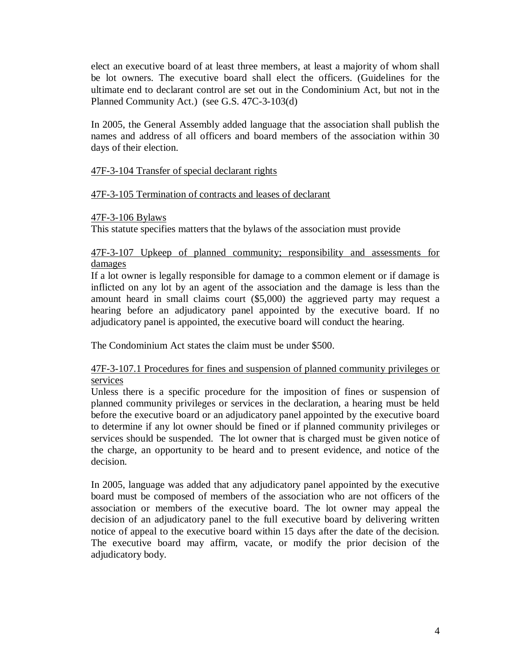elect an executive board of at least three members, at least a majority of whom shall be lot owners. The executive board shall elect the officers. (Guidelines for the ultimate end to declarant control are set out in the Condominium Act, but not in the Planned Community Act.) (see G.S. 47C-3-103(d)

In 2005, the General Assembly added language that the association shall publish the names and address of all officers and board members of the association within 30 days of their election.

## 47F-3-104 Transfer of special declarant rights

## 47F-3-105 Termination of contracts and leases of declarant

### 47F-3-106 Bylaws

This statute specifies matters that the bylaws of the association must provide

## 47F-3-107 Upkeep of planned community; responsibility and assessments for damages

If a lot owner is legally responsible for damage to a common element or if damage is inflicted on any lot by an agent of the association and the damage is less than the amount heard in small claims court (\$5,000) the aggrieved party may request a hearing before an adjudicatory panel appointed by the executive board. If no adjudicatory panel is appointed, the executive board will conduct the hearing.

The Condominium Act states the claim must be under \$500.

### 47F-3-107.1 Procedures for fines and suspension of planned community privileges or services

Unless there is a specific procedure for the imposition of fines or suspension of planned community privileges or services in the declaration, a hearing must be held before the executive board or an adjudicatory panel appointed by the executive board to determine if any lot owner should be fined or if planned community privileges or services should be suspended. The lot owner that is charged must be given notice of the charge, an opportunity to be heard and to present evidence, and notice of the decision.

In 2005, language was added that any adjudicatory panel appointed by the executive board must be composed of members of the association who are not officers of the association or members of the executive board. The lot owner may appeal the decision of an adjudicatory panel to the full executive board by delivering written notice of appeal to the executive board within 15 days after the date of the decision. The executive board may affirm, vacate, or modify the prior decision of the adjudicatory body.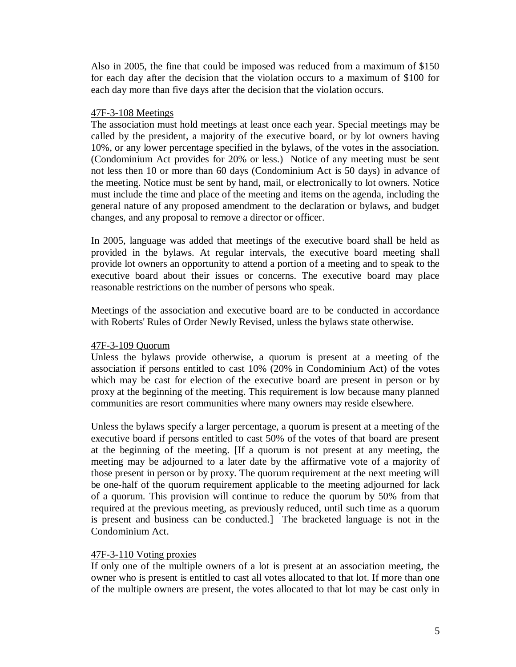Also in 2005, the fine that could be imposed was reduced from a maximum of \$150 for each day after the decision that the violation occurs to a maximum of \$100 for each day more than five days after the decision that the violation occurs.

### 47F-3-108 Meetings

The association must hold meetings at least once each year. Special meetings may be called by the president, a majority of the executive board, or by lot owners having 10%, or any lower percentage specified in the bylaws, of the votes in the association. (Condominium Act provides for 20% or less.) Notice of any meeting must be sent not less then 10 or more than 60 days (Condominium Act is 50 days) in advance of the meeting. Notice must be sent by hand, mail, or electronically to lot owners. Notice must include the time and place of the meeting and items on the agenda, including the general nature of any proposed amendment to the declaration or bylaws, and budget changes, and any proposal to remove a director or officer.

In 2005, language was added that meetings of the executive board shall be held as provided in the bylaws. At regular intervals, the executive board meeting shall provide lot owners an opportunity to attend a portion of a meeting and to speak to the executive board about their issues or concerns. The executive board may place reasonable restrictions on the number of persons who speak.

Meetings of the association and executive board are to be conducted in accordance with Roberts' Rules of Order Newly Revised, unless the bylaws state otherwise.

# 47F-3-109 Quorum

Unless the bylaws provide otherwise, a quorum is present at a meeting of the association if persons entitled to cast 10% (20% in Condominium Act) of the votes which may be cast for election of the executive board are present in person or by proxy at the beginning of the meeting. This requirement is low because many planned communities are resort communities where many owners may reside elsewhere.

Unless the bylaws specify a larger percentage, a quorum is present at a meeting of the executive board if persons entitled to cast 50% of the votes of that board are present at the beginning of the meeting. [If a quorum is not present at any meeting, the meeting may be adjourned to a later date by the affirmative vote of a majority of those present in person or by proxy. The quorum requirement at the next meeting will be one-half of the quorum requirement applicable to the meeting adjourned for lack of a quorum. This provision will continue to reduce the quorum by 50% from that required at the previous meeting, as previously reduced, until such time as a quorum is present and business can be conducted.] The bracketed language is not in the Condominium Act.

# 47F-3-110 Voting proxies

If only one of the multiple owners of a lot is present at an association meeting, the owner who is present is entitled to cast all votes allocated to that lot. If more than one of the multiple owners are present, the votes allocated to that lot may be cast only in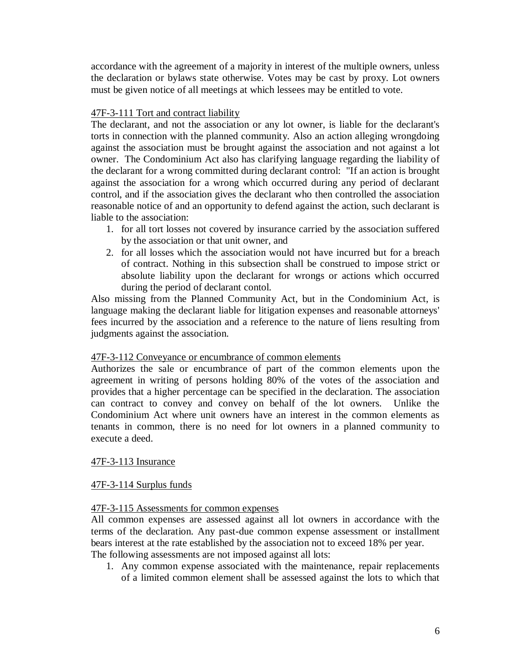accordance with the agreement of a majority in interest of the multiple owners, unless the declaration or bylaws state otherwise. Votes may be cast by proxy. Lot owners must be given notice of all meetings at which lessees may be entitled to vote.

# 47F-3-111 Tort and contract liability

The declarant, and not the association or any lot owner, is liable for the declarant's torts in connection with the planned community. Also an action alleging wrongdoing against the association must be brought against the association and not against a lot owner. The Condominium Act also has clarifying language regarding the liability of the declarant for a wrong committed during declarant control: "If an action is brought against the association for a wrong which occurred during any period of declarant control, and if the association gives the declarant who then controlled the association reasonable notice of and an opportunity to defend against the action, such declarant is liable to the association:

- 1. for all tort losses not covered by insurance carried by the association suffered by the association or that unit owner, and
- 2. for all losses which the association would not have incurred but for a breach of contract. Nothing in this subsection shall be construed to impose strict or absolute liability upon the declarant for wrongs or actions which occurred during the period of declarant contol.

Also missing from the Planned Community Act, but in the Condominium Act, is language making the declarant liable for litigation expenses and reasonable attorneys' fees incurred by the association and a reference to the nature of liens resulting from judgments against the association.

# 47F-3-112 Conveyance or encumbrance of common elements

Authorizes the sale or encumbrance of part of the common elements upon the agreement in writing of persons holding 80% of the votes of the association and provides that a higher percentage can be specified in the declaration. The association can contract to convey and convey on behalf of the lot owners. Unlike the Condominium Act where unit owners have an interest in the common elements as tenants in common, there is no need for lot owners in a planned community to execute a deed.

### 47F-3-113 Insurance

# 47F-3-114 Surplus funds

### 47F-3-115 Assessments for common expenses

All common expenses are assessed against all lot owners in accordance with the terms of the declaration. Any past-due common expense assessment or installment bears interest at the rate established by the association not to exceed 18% per year. The following assessments are not imposed against all lots:

1. Any common expense associated with the maintenance, repair replacements of a limited common element shall be assessed against the lots to which that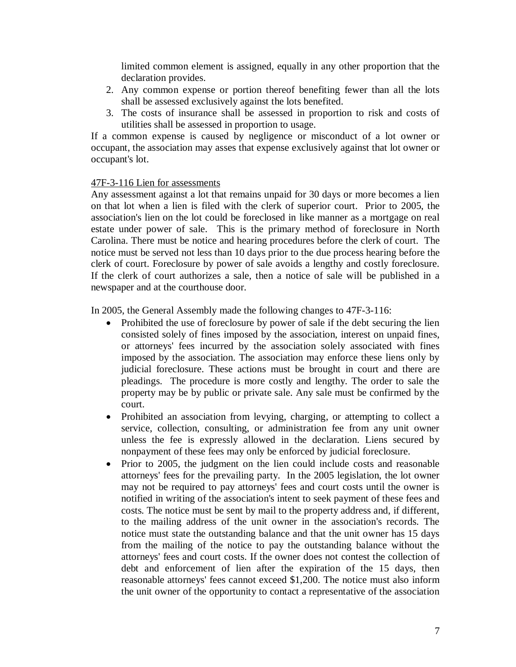limited common element is assigned, equally in any other proportion that the declaration provides.

- 2. Any common expense or portion thereof benefiting fewer than all the lots shall be assessed exclusively against the lots benefited.
- 3. The costs of insurance shall be assessed in proportion to risk and costs of utilities shall be assessed in proportion to usage.

If a common expense is caused by negligence or misconduct of a lot owner or occupant, the association may asses that expense exclusively against that lot owner or occupant's lot.

### 47F-3-116 Lien for assessments

Any assessment against a lot that remains unpaid for 30 days or more becomes a lien on that lot when a lien is filed with the clerk of superior court. Prior to 2005, the association's lien on the lot could be foreclosed in like manner as a mortgage on real estate under power of sale. This is the primary method of foreclosure in North Carolina. There must be notice and hearing procedures before the clerk of court. The notice must be served not less than 10 days prior to the due process hearing before the clerk of court. Foreclosure by power of sale avoids a lengthy and costly foreclosure. If the clerk of court authorizes a sale, then a notice of sale will be published in a newspaper and at the courthouse door.

In 2005, the General Assembly made the following changes to 47F-3-116:

- Prohibited the use of foreclosure by power of sale if the debt securing the lien consisted solely of fines imposed by the association, interest on unpaid fines, or attorneys' fees incurred by the association solely associated with fines imposed by the association. The association may enforce these liens only by judicial foreclosure. These actions must be brought in court and there are pleadings. The procedure is more costly and lengthy. The order to sale the property may be by public or private sale. Any sale must be confirmed by the court.
- Prohibited an association from levying, charging, or attempting to collect a service, collection, consulting, or administration fee from any unit owner unless the fee is expressly allowed in the declaration. Liens secured by nonpayment of these fees may only be enforced by judicial foreclosure.
- Prior to 2005, the judgment on the lien could include costs and reasonable attorneys' fees for the prevailing party. In the 2005 legislation, the lot owner may not be required to pay attorneys' fees and court costs until the owner is notified in writing of the association's intent to seek payment of these fees and costs. The notice must be sent by mail to the property address and, if different, to the mailing address of the unit owner in the association's records. The notice must state the outstanding balance and that the unit owner has 15 days from the mailing of the notice to pay the outstanding balance without the attorneys' fees and court costs. If the owner does not contest the collection of debt and enforcement of lien after the expiration of the 15 days, then reasonable attorneys' fees cannot exceed \$1,200. The notice must also inform the unit owner of the opportunity to contact a representative of the association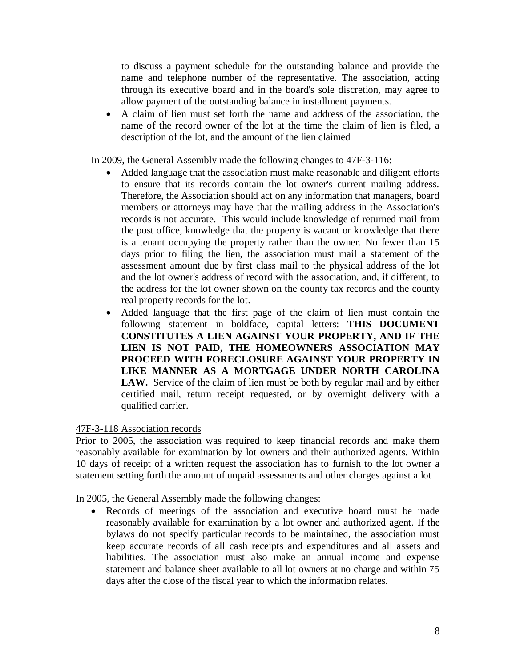to discuss a payment schedule for the outstanding balance and provide the name and telephone number of the representative. The association, acting through its executive board and in the board's sole discretion, may agree to allow payment of the outstanding balance in installment payments.

 A claim of lien must set forth the name and address of the association, the name of the record owner of the lot at the time the claim of lien is filed, a description of the lot, and the amount of the lien claimed

In 2009, the General Assembly made the following changes to 47F-3-116:

- Added language that the association must make reasonable and diligent efforts to ensure that its records contain the lot owner's current mailing address. Therefore, the Association should act on any information that managers, board members or attorneys may have that the mailing address in the Association's records is not accurate. This would include knowledge of returned mail from the post office, knowledge that the property is vacant or knowledge that there is a tenant occupying the property rather than the owner. No fewer than 15 days prior to filing the lien, the association must mail a statement of the assessment amount due by first class mail to the physical address of the lot and the lot owner's address of record with the association, and, if different, to the address for the lot owner shown on the county tax records and the county real property records for the lot.
- Added language that the first page of the claim of lien must contain the following statement in boldface, capital letters: **THIS DOCUMENT CONSTITUTES A LIEN AGAINST YOUR PROPERTY, AND IF THE LIEN IS NOT PAID, THE HOMEOWNERS ASSOCIATION MAY PROCEED WITH FORECLOSURE AGAINST YOUR PROPERTY IN LIKE MANNER AS A MORTGAGE UNDER NORTH CAROLINA LAW.** Service of the claim of lien must be both by regular mail and by either certified mail, return receipt requested, or by overnight delivery with a qualified carrier.

# 47F-3-118 Association records

Prior to 2005, the association was required to keep financial records and make them reasonably available for examination by lot owners and their authorized agents. Within 10 days of receipt of a written request the association has to furnish to the lot owner a statement setting forth the amount of unpaid assessments and other charges against a lot

In 2005, the General Assembly made the following changes:

 Records of meetings of the association and executive board must be made reasonably available for examination by a lot owner and authorized agent. If the bylaws do not specify particular records to be maintained, the association must keep accurate records of all cash receipts and expenditures and all assets and liabilities. The association must also make an annual income and expense statement and balance sheet available to all lot owners at no charge and within 75 days after the close of the fiscal year to which the information relates.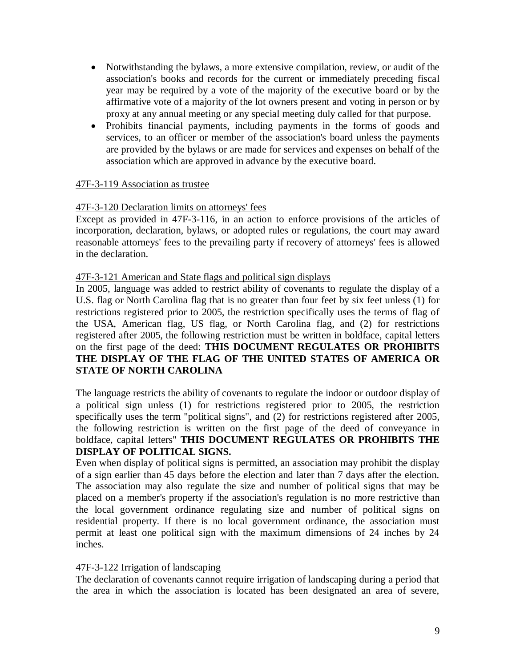- Notwithstanding the bylaws, a more extensive compilation, review, or audit of the association's books and records for the current or immediately preceding fiscal year may be required by a vote of the majority of the executive board or by the affirmative vote of a majority of the lot owners present and voting in person or by proxy at any annual meeting or any special meeting duly called for that purpose.
- Prohibits financial payments, including payments in the forms of goods and services, to an officer or member of the association's board unless the payments are provided by the bylaws or are made for services and expenses on behalf of the association which are approved in advance by the executive board.

## 47F-3-119 Association as trustee

## 47F-3-120 Declaration limits on attorneys' fees

Except as provided in 47F-3-116, in an action to enforce provisions of the articles of incorporation, declaration, bylaws, or adopted rules or regulations, the court may award reasonable attorneys' fees to the prevailing party if recovery of attorneys' fees is allowed in the declaration.

### 47F-3-121 American and State flags and political sign displays

In 2005, language was added to restrict ability of covenants to regulate the display of a U.S. flag or North Carolina flag that is no greater than four feet by six feet unless (1) for restrictions registered prior to 2005, the restriction specifically uses the terms of flag of the USA, American flag, US flag, or North Carolina flag, and (2) for restrictions registered after 2005, the following restriction must be written in boldface, capital letters on the first page of the deed: **THIS DOCUMENT REGULATES OR PROHIBITS THE DISPLAY OF THE FLAG OF THE UNITED STATES OF AMERICA OR STATE OF NORTH CAROLINA**

The language restricts the ability of covenants to regulate the indoor or outdoor display of a political sign unless (1) for restrictions registered prior to 2005, the restriction specifically uses the term "political signs", and (2) for restrictions registered after 2005, the following restriction is written on the first page of the deed of conveyance in boldface, capital letters" **THIS DOCUMENT REGULATES OR PROHIBITS THE DISPLAY OF POLITICAL SIGNS.**

Even when display of political signs is permitted, an association may prohibit the display of a sign earlier than 45 days before the election and later than 7 days after the election. The association may also regulate the size and number of political signs that may be placed on a member's property if the association's regulation is no more restrictive than the local government ordinance regulating size and number of political signs on residential property. If there is no local government ordinance, the association must permit at least one political sign with the maximum dimensions of 24 inches by 24 inches.

### 47F-3-122 Irrigation of landscaping

The declaration of covenants cannot require irrigation of landscaping during a period that the area in which the association is located has been designated an area of severe,